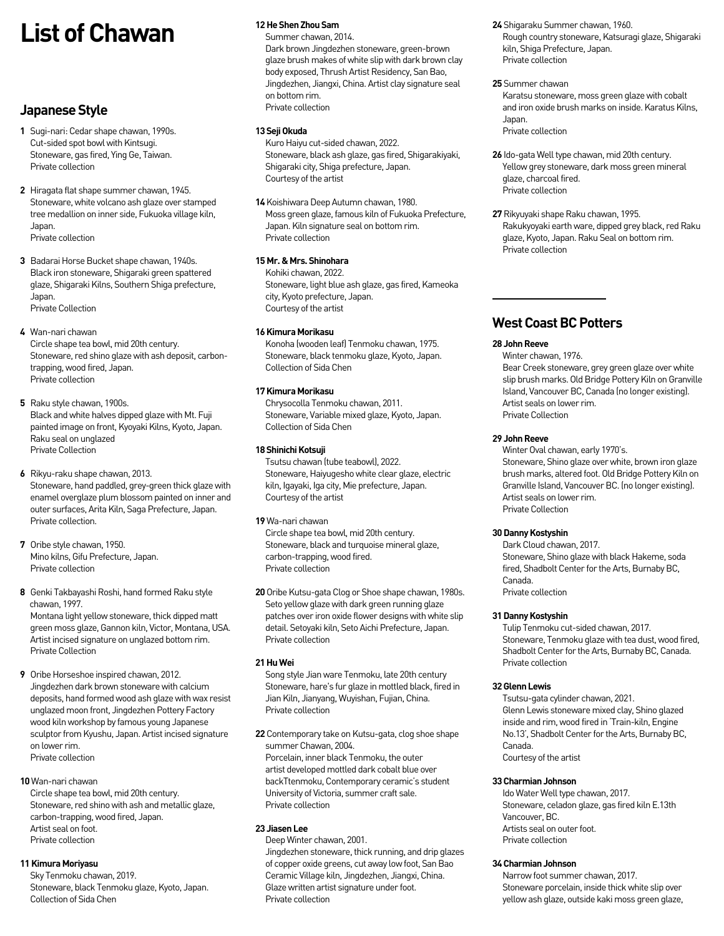# **List of Chawan**

# **Japanese Style**

- **1** Sugi-nari: Cedar shape chawan, 1990s. Cut-sided spot bowl with Kintsugi. Stoneware, gas fired, Ying Ge, Taiwan. Private collection
- **2** Hiragata flat shape summer chawan, 1945. Stoneware, white volcano ash glaze over stamped tree medallion on inner side, Fukuoka village kiln, Japan. Private collection
- **3** Badarai Horse Bucket shape chawan, 1940s. Black iron stoneware, Shigaraki green spattered glaze, Shigaraki Kilns, Southern Shiga prefecture, Japan. Private Collection
- **4** Wan-nari chawan Circle shape tea bowl, mid 20th century. Stoneware, red shino glaze with ash deposit, carbontrapping, wood fired, Japan. Private collection
- **5** Raku style chawan, 1900s. Black and white halves dipped glaze with Mt. Fuji painted image on front, Kyoyaki Kilns, Kyoto, Japan. .<br>Raku seal on unglazed Private Collection
- **6** Rikyu-raku shape chawan, 2013. Stoneware, hand paddled, grey-green thick glaze with enamel overglaze plum blossom painted on inner and outer surfaces, Arita Kiln, Saga Prefecture, Japan. Private collection.
- **7** Oribe style chawan, 1950. Mino kilns, Gifu Prefecture, Japan. Private collection
- **8** Genki Takbayashi Roshi, hand formed Raku style chawan, 1997. Montana light yellow stoneware, thick dipped matt green moss glaze, Gannon kiln, Victor, Montana, USA. Artist incised signature on unglazed bottom rim. Private Collection
- **9** Oribe Horseshoe inspired chawan, 2012. Jingdezhen dark brown stoneware with calcium deposits, hand formed wood ash glaze with wax resist unglazed moon front, Jingdezhen Pottery Factory wood kiln workshop by famous young Japanese sculptor from Kyushu, Japan. Artist incised signature on lower rim. Private collection

**10** Wan-nari chawan Circle shape tea bowl, mid 20th century. Stoneware, red shino with ash and metallic glaze, carbon-trapping, wood fired, Japan. Artist seal on foot. Private collection

# **11Kimura Moriyasu**

Sky Tenmoku chawan, 2019. Stoneware, black Tenmoku glaze, Kyoto, Japan. Collection of Sida Chen

### **12He Shen Zhou Sam**

Summer chawan, 2014. Dark brown Jingdezhen stoneware, green-brown glaze brush makes of white slip with dark brown clay body exposed, Thrush Artist Residency, San Bao, Jingdezhen, Jiangxi, China. Artist clay signature seal on bottom rim. Private collection

### **13 Seji Okuda**

Kuro Haiyu cut-sided chawan, 2022. Stoneware, black ash glaze, gas fired, Shigarakiyaki, Shigaraki city, Shiga prefecture, Japan. Courtesy of the artist

**14** Koishiwara Deep Autumn chawan, 1980. Moss green glaze, famous kiln of Fukuoka Prefecture, Japan. Kiln signature seal on bottom rim. Private collection

# **15 Mr. & Mrs. Shinohara**

Kohiki chawan, 2022. Stoneware, light blue ash glaze, gas fired, Kameoka city, Kyoto prefecture, Japan. Courtesy of the artist

# **16 Kimura Morikasu**

Konoha (wooden leaf) Tenmoku chawan, 1975. Stoneware, black tenmoku glaze, Kyoto, Japan. Collection of Sida Chen

# **17 Kimura Morikasu**

Chrysocolla Tenmoku chawan, 2011. Stoneware, Variable mixed glaze, Kyoto, Japan. Collection of Sida Chen

### **18 Shinichi Kotsuji**

Tsutsu chawan (tube teabowl), 2022. Stoneware, Haiyugesho white clear glaze, electric kiln, Igayaki, Iga city, Mie prefecture, Japan. Courtesy of the artist

**19** Wa-nari chawan

Circle shape tea bowl, mid 20th century. Stoneware, black and turquoise mineral glaze, carbon-trapping, wood fired. Private collection

**20** Oribe Kutsu-gata Clog or Shoe shape chawan, 1980s. Seto yellow glaze with dark green running glaze patches over iron oxide flower designs with white slip detail. Setoyaki kiln, Seto Aichi Prefecture, Japan. Private collection

# **21 Hu Wei**

Song style Jian ware Tenmoku, late 20th century Stoneware, hare's fur glaze in mottled black, fired in Jian Kiln, Jianyang, Wuyishan, Fujian, China. Private collection

**22** Contemporary take on Kutsu-gata, clog shoe shape summer Chawan, 2004. Porcelain, inner black Tenmoku, the outer artist developed mottled dark cobalt blue over backTtenmoku, Contemporary ceramic's student University of Victoria, summer craft sale. Private collection

# **23 Jiasen Lee**

Deep Winter chawan, 2001. Jingdezhen stoneware, thick running, and drip glazes of copper oxide greens, cut away low foot, San Bao Ceramic Village kiln, Jingdezhen, Jiangxi, China. Glaze written artist signature under foot. Private collection

- **24** Shigaraku Summer chawan, 1960. Rough country stoneware, Katsuragi glaze, Shigaraki kiln, Shiga Prefecture, Japan. Private collection
- **25** Summer chawan

Karatsu stoneware, moss green glaze with cobalt and iron oxide brush marks on inside. Karatus Kilns, Japan. Private collection

- **26** Ido-gata Well type chawan, mid 20th century. Yellow grey stoneware, dark moss green mineral glaze, charcoal fired. Private collection
- **27** Rikyuyaki shape Raku chawan, 1995. Rakukyoyaki earth ware, dipped grey black, red Raku glaze, Kyoto, Japan. Raku Seal on bottom rim. Private collection

# **West Coast BC Potters**

# **28 John Reeve**

Winter chawan, 1976. Bear Creek stoneware, grey green glaze over white slip brush marks. Old Bridge Pottery Kiln on Granville Island, Vancouver BC, Canada (no longer existing). Artist seals on lower rim. Private Collection

# **29 John Reeve**

Winter Oval chawan, early 1970's. Stoneware, Shino glaze over white, brown iron glaze brush marks, altered foot. Old Bridge Pottery Kiln on Granville Island, Vancouver BC. (no longer existing). Artist seals on lower rim. Private Collection

# **30Danny Kostyshin**

Dark Cloud chawan, 2017. Stoneware, Shino glaze with black Hakeme, soda fired, Shadbolt Center for the Arts, Burnaby BC, Canada. Private collection

#### **31 Danny Kostyshin**

Tulip Tenmoku cut-sided chawan, 2017. Stoneware, Tenmoku glaze with tea dust, wood fired, Shadbolt Center for the Arts, Burnaby BC, Canada. Private collection

# **32 Glenn Lewis**

Tsutsu-gata cylinder chawan, 2021. Glenn Lewis stoneware mixed clay, Shino glazed inside and rim, wood fired in 'Train-kiln, Engine No.13', Shadbolt Center for the Arts, Burnaby BC, Canada. Courtesy of the artist

# **33 Charmian Johnson**

Ido Water Well type chawan, 2017. Stoneware, celadon glaze, gas fired kiln E.13th Vancouver, BC. Artists seal on outer foot. Private collection

### **34 Charmian Johnson**

Narrow foot summer chawan, 2017. Stoneware porcelain, inside thick white slip over yellow ash glaze, outside kaki moss green glaze,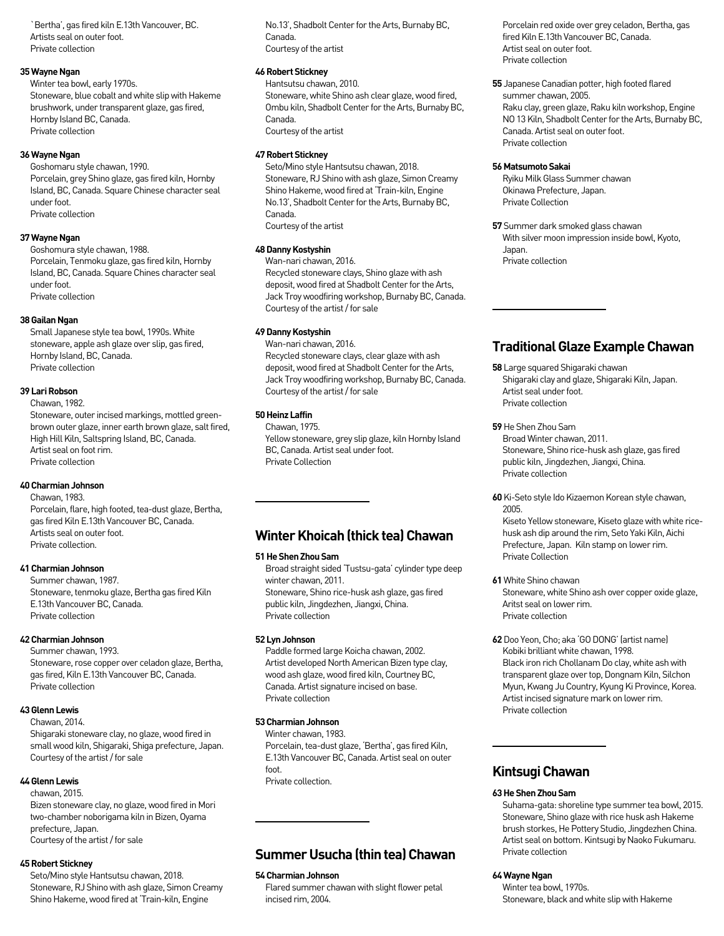`Bertha', gas fired kiln E.13th Vancouver, BC. Artists seal on outer foot. Private collection

### **35 Wayne Ngan**

Winter tea bowl, early 1970s. Stoneware, blue cobalt and white slip with Hakeme brushwork, under transparent glaze, gas fired, Hornby Island BC, Canada. Private collection

### **36 Wayne Ngan**

Goshomaru style chawan, 1990. Porcelain, grey Shino glaze, gas fired kiln, Hornby Island, BC, Canada. Square Chinese character seal under foot. Private collection

#### **37 Wayne Ngan**

Goshomura style chawan, 1988. Porcelain, Tenmoku glaze, gas fired kiln, Hornby Island, BC, Canada. Square Chines character seal under foot. Private collection

#### **38 Gailan Ngan**

Small Japanese style tea bowl, 1990s. White stoneware, apple ash glaze over slip, gas fired, Hornby Island, BC, Canada. Private collection

# **39 Lari Robson**

Chawan, 1982. Stoneware, outer incised markings, mottled greenbrown outer glaze, inner earth brown glaze, salt fired, High Hill Kiln, Saltspring Island, BC, Canada. Artist seal on foot rim. Private collection

#### **40 Charmian Johnson**

Chawan, 1983. Porcelain, flare, high footed, tea-dust glaze, Bertha, gas fired Kiln E.13th Vancouver BC, Canada. Artists seal on outer foot. Private collection.

### **41 Charmian Johnson**

Summer chawan, 1987. Stoneware, tenmoku glaze, Bertha gas fired Kiln E.13th Vancouver BC, Canada. Private collection

#### **42 Charmian Johnson**

Summer chawan, 1993. Stoneware, rose copper over celadon glaze, Bertha, gas fired, Kiln E.13th Vancouver BC, Canada. Private collection

### **43 Glenn Lewis**

Chawan, 2014.

Shigaraki stoneware clay, no glaze, wood fired in small wood kiln, Shigaraki, Shiga prefecture, Japan. Courtesy of the artist / for sale

# **44 Glenn Lewis**

chawan, 2015. Bizen stoneware clay, no glaze, wood fired in Mori two-chamber noborigama kiln in Bizen, Oyama prefecture, Japan. Courtesy of the artist / for sale

#### **45 Robert Stickney**

Seto/Mino style Hantsutsu chawan, 2018. Stoneware, RJ Shino with ash glaze, Simon Creamy Shino Hakeme, wood fired at 'Train-kiln, Engine

No.13', Shadbolt Center for the Arts, Burnaby BC, Canada. Courtesy of the artist

# **46 Robert Stickney**

Hantsutsu chawan, 2010. Stoneware, white Shino ash clear glaze, wood fired, Ombu kiln, Shadbolt Center for the Arts, Burnaby BC, Canada. Courtesy of the artist

### **47 Robert Stickney**

Seto/Mino style Hantsutsu chawan, 2018. Stoneware, RJ Shino with ash glaze, Simon Creamy Shino Hakeme, wood fired at 'Train-kiln, Engine No.13', Shadbolt Center for the Arts, Burnaby BC, Canada. Courtesy of the artist

#### **48 Danny Kostyshin**

Wan-nari chawan, 2016. Recycled stoneware clays, Shino glaze with ash deposit, wood fired at Shadbolt Center for the Arts, Jack Troy woodfiring workshop, Burnaby BC, Canada. Courtesy of the artist / for sale

# **49 Danny Kostyshin**

Wan-nari chawan, 2016. Recycled stoneware clays, clear glaze with ash deposit, wood fired at Shadbolt Center for the Arts, Jack Troy woodfiring workshop, Burnaby BC, Canada. Courtesy of the artist / for sale

# **50 Heinz Laffin**

Chawan, 1975. Yellow stoneware, grey slip glaze, kiln Hornby Island BC, Canada. Artist seal under foot. Private Collection

# **Winter Khoicah (thick tea) Chawan**

#### **51 He Shen Zhou Sam**

Broad straight sided 'Tustsu-gata' cylinder type deep winter chawan, 2011.

Stoneware, Shino rice-husk ash glaze, gas fired public kiln, Jingdezhen, Jiangxi, China. Private collection

#### **52 Lyn Johnson**

Paddle formed large Koicha chawan, 2002. Artist developed North American Bizen type clay, wood ash glaze, wood fired kiln, Courtney BC, Canada. Artist signature incised on base. Private collection

# **53 Charmian Johnson**

Winter chawan, 1983. Porcelain, tea-dust glaze, 'Bertha', gas fired Kiln, E.13th Vancouver BC, Canada. Artist seal on outer foot. Private collection.

# **Summer Usucha (thin tea) Chawan**

#### **54 Charmian Johnson**

Flared summer chawan with slight flower petal incised rim, 2004.

Porcelain red oxide over grey celadon, Bertha, gas fired Kiln E.13th Vancouver BC, Canada. Artist seal on outer foot. Private collection

**55** Japanese Canadian potter, high footed flared summer chawan, 2005. Raku clay, green glaze, Raku kiln workshop, Engine NO 13 Kiln, Shadbolt Center for the Arts, Burnaby BC, Canada. Artist seal on outer foot. Private collection

#### **56 Matsumoto Sakai**

Ryiku Milk Glass Summer chawan Okinawa Prefecture, Japan. Private Collection

**57** Summer dark smoked glass chawan With silver moon impression inside bowl, Kyoto, Japan. Private collection

# **Traditional Glaze Example Chawan**

**58** Large squared Shigaraki chawan Shigaraki clay and glaze, Shigaraki Kiln, Japan. Artist seal under foot. Private collection

# **59** He Shen Zhou Sam

Broad Winter chawan, 2011. Stoneware, Shino rice-husk ash glaze, gas fired public kiln, Jingdezhen, Jiangxi, China. Private collection

**60** Ki-Seto style Ido Kizaemon Korean style chawan, 2005.

Kiseto Yellow stoneware, Kiseto glaze with white ricehusk ash dip around the rim, Seto Yaki Kiln, Aichi Prefecture, Japan. Kiln stamp on lower rim. Private Collection

**61** White Shino chawan

Stoneware, white Shino ash over copper oxide glaze, Aritst seal on lower rim. Private collection

**62** Doo Yeon, Cho; aka 'GO DONG' (artist name) Kobiki brilliant white chawan, 1998. Black iron rich Chollanam Do clay, white ash with transparent glaze over top, Dongnam Kiln, Silchon Myun, Kwang Ju Country, Kyung Ki Province, Korea. Artist incised signature mark on lower rim. Private collection

# **Kintsugi Chawan**

# **63 He Shen Zhou Sam**

Suhama-gata: shoreline type summer tea bowl, 2015. Stoneware, Shino glaze with rice husk ash Hakeme brush storkes, He Pottery Studio, Jingdezhen China. Artist seal on bottom. Kintsugi by Naoko Fukumaru. Private collection

#### **64 Wayne Ngan**

Winter tea bowl, 1970s. Stoneware, black and white slip with Hakeme